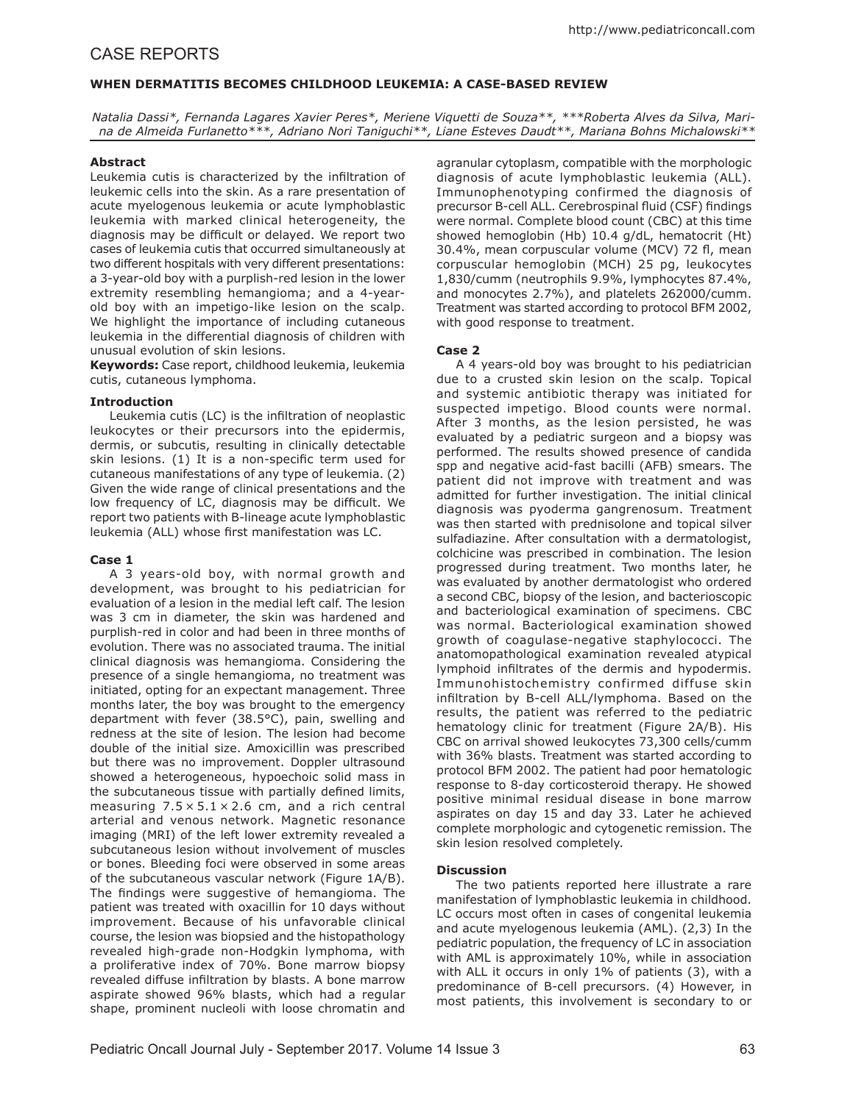# CASE REPORTS

## **WHEN DERMATITIS BECOMES CHILDHOOD LEUKEMIA: A CASE-BASED REVIEW**

*Natalia Dassi\*, Fernanda Lagares Xavier Peres\*, Meriene Viquetti de Souza\*\*, \*\*\*Roberta Alves da Silva, Marina de Almeida Furlanetto\*\*\*, Adriano Nori Taniguchi\*\*, Liane Esteves Daudt\*\*, Mariana Bohns Michalowski\*\**

### **Abstract**

Leukemia cutis is characterized by the infiltration of leukemic cells into the skin. As a rare presentation of acute myelogenous leukemia or acute lymphoblastic leukemia with marked clinical heterogeneity, the diagnosis may be difficult or delayed. We report two cases of leukemia cutis that occurred simultaneously at two different hospitals with very different presentations: a 3-year-old boy with a purplish-red lesion in the lower extremity resembling hemangioma; and a 4-yearold boy with an impetigo-like lesion on the scalp. We highlight the importance of including cutaneous leukemia in the differential diagnosis of children with unusual evolution of skin lesions.

**Keywords:** Case report, childhood leukemia, leukemia cutis, cutaneous lymphoma.

#### **Introduction**

Leukemia cutis (LC) is the infiltration of neoplastic leukocytes or their precursors into the epidermis, dermis, or subcutis, resulting in clinically detectable skin lesions. (1) It is a non-specific term used for cutaneous manifestations of any type of leukemia. (2) Given the wide range of clinical presentations and the low frequency of LC, diagnosis may be difficult. We report two patients with B-lineage acute lymphoblastic leukemia (ALL) whose first manifestation was LC.

#### **Case 1**

A 3 years-old boy, with normal growth and development, was brought to his pediatrician for evaluation of a lesion in the medial left calf. The lesion was 3 cm in diameter, the skin was hardened and purplish-red in color and had been in three months of evolution. There was no associated trauma. The initial clinical diagnosis was hemangioma. Considering the presence of a single hemangioma, no treatment was initiated, opting for an expectant management. Three months later, the boy was brought to the emergency department with fever (38.5°C), pain, swelling and redness at the site of lesion. The lesion had become double of the initial size. Amoxicillin was prescribed but there was no improvement. Doppler ultrasound showed a heterogeneous, hypoechoic solid mass in the subcutaneous tissue with partially defined limits, measuring  $7.5 \times 5.1 \times 2.6$  cm, and a rich central arterial and venous network. Magnetic resonance imaging (MRI) of the left lower extremity revealed a subcutaneous lesion without involvement of muscles or bones. Bleeding foci were observed in some areas of the subcutaneous vascular network (Figure 1A/B). The findings were suggestive of hemangioma. The patient was treated with oxacillin for 10 days without improvement. Because of his unfavorable clinical course, the lesion was biopsied and the histopathology revealed high-grade non-Hodgkin lymphoma, with a proliferative index of 70%. Bone marrow biopsy revealed diffuse infiltration by blasts. A bone marrow aspirate showed 96% blasts, which had a regular shape, prominent nucleoli with loose chromatin and

agranular cytoplasm, compatible with the morphologic diagnosis of acute lymphoblastic leukemia (ALL). Immunophenotyping confirmed the diagnosis of precursor B-cell ALL. Cerebrospinal fluid (CSF) findings were normal. Complete blood count (CBC) at this time showed hemoglobin (Hb) 10.4 g/dL, hematocrit (Ht) 30.4%, mean corpuscular volume (MCV) 72 fl, mean corpuscular hemoglobin (MCH) 25 pg, leukocytes 1,830/cumm (neutrophils 9.9%, lymphocytes 87.4%, and monocytes 2.7%), and platelets 262000/cumm. Treatment was started according to protocol BFM 2002, with good response to treatment.

## **Case 2**

A 4 years-old boy was brought to his pediatrician due to a crusted skin lesion on the scalp. Topical and systemic antibiotic therapy was initiated for suspected impetigo. Blood counts were normal. After 3 months, as the lesion persisted, he was evaluated by a pediatric surgeon and a biopsy was performed. The results showed presence of candida spp and negative acid-fast bacilli (AFB) smears. The patient did not improve with treatment and was admitted for further investigation. The initial clinical diagnosis was pyoderma gangrenosum. Treatment was then started with prednisolone and topical silver sulfadiazine. After consultation with a dermatologist, colchicine was prescribed in combination. The lesion progressed during treatment. Two months later, he was evaluated by another dermatologist who ordered a second CBC, biopsy of the lesion, and bacterioscopic and bacteriological examination of specimens. CBC was normal. Bacteriological examination showed growth of coagulase-negative staphylococci. The anatomopathological examination revealed atypical lymphoid infiltrates of the dermis and hypodermis. Immunohistochemistry confirmed diffuse skin infiltration by B-cell ALL/lymphoma. Based on the results, the patient was referred to the pediatric hematology clinic for treatment (Figure 2A/B). His CBC on arrival showed leukocytes 73,300 cells/cumm with 36% blasts. Treatment was started according to protocol BFM 2002. The patient had poor hematologic response to 8-day corticosteroid therapy. He showed positive minimal residual disease in bone marrow aspirates on day 15 and day 33. Later he achieved complete morphologic and cytogenetic remission. The skin lesion resolved completely.

## **Discussion**

The two patients reported here illustrate a rare manifestation of lymphoblastic leukemia in childhood. LC occurs most often in cases of congenital leukemia and acute myelogenous leukemia (AML). (2,3) In the pediatric population, the frequency of LC in association with AML is approximately 10%, while in association with ALL it occurs in only 1% of patients (3), with a predominance of B-cell precursors. (4) However, in most patients, this involvement is secondary to or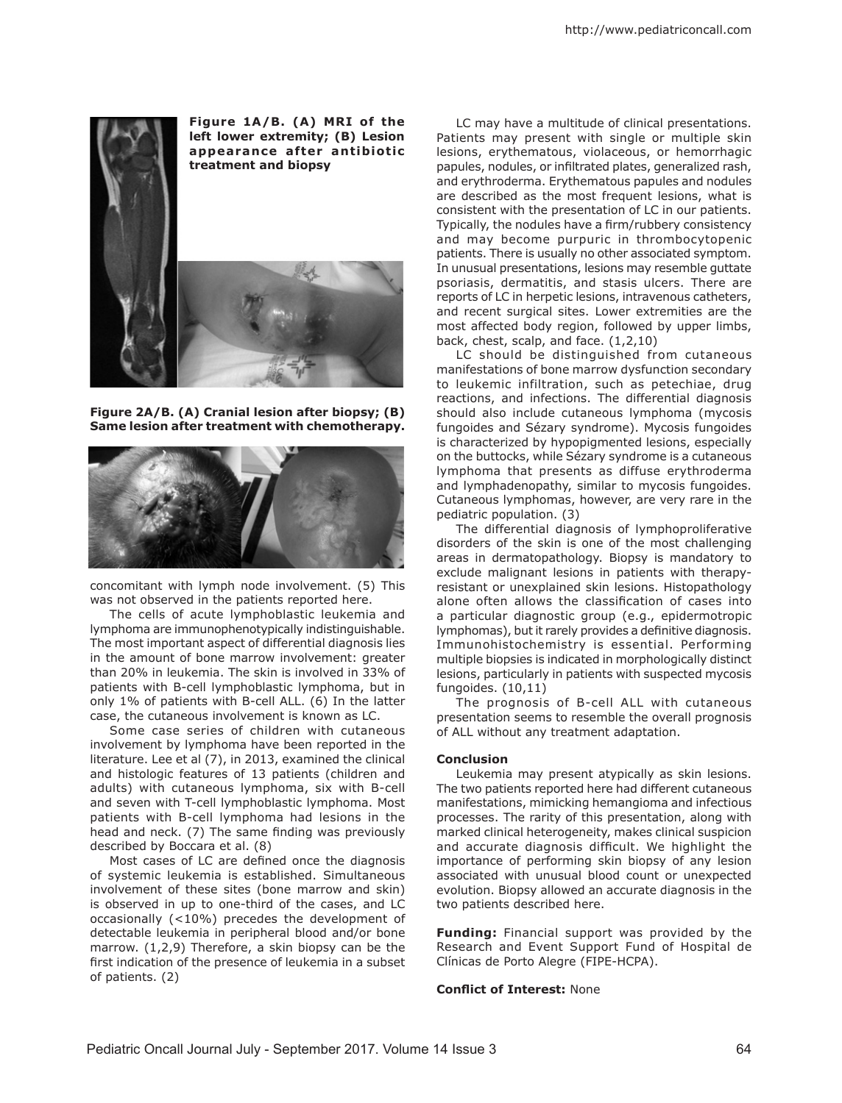

**Figure 2A/B. (A) Cranial lesion after biopsy; (B) Same lesion after treatment with chemotherapy.**



concomitant with lymph node involvement. (5) This was not observed in the patients reported here.

The cells of acute lymphoblastic leukemia and lymphoma are immunophenotypically indistinguishable. The most important aspect of differential diagnosis lies in the amount of bone marrow involvement: greater than 20% in leukemia. The skin is involved in 33% of patients with B-cell lymphoblastic lymphoma, but in only 1% of patients with B-cell ALL. (6) In the latter case, the cutaneous involvement is known as LC.

Some case series of children with cutaneous involvement by lymphoma have been reported in the literature. Lee et al (7), in 2013, examined the clinical and histologic features of 13 patients (children and adults) with cutaneous lymphoma, six with B-cell and seven with T-cell lymphoblastic lymphoma. Most patients with B-cell lymphoma had lesions in the head and neck. (7) The same finding was previously described by Boccara et al. (8)

Most cases of LC are defined once the diagnosis of systemic leukemia is established. Simultaneous involvement of these sites (bone marrow and skin) is observed in up to one-third of the cases, and LC occasionally (<10%) precedes the development of detectable leukemia in peripheral blood and/or bone marrow. (1,2,9) Therefore, a skin biopsy can be the first indication of the presence of leukemia in a subset of patients. (2)

LC may have a multitude of clinical presentations. Patients may present with single or multiple skin lesions, erythematous, violaceous, or hemorrhagic papules, nodules, or infiltrated plates, generalized rash, and erythroderma. Erythematous papules and nodules are described as the most frequent lesions, what is consistent with the presentation of LC in our patients. Typically, the nodules have a firm/rubbery consistency and may become purpuric in thrombocytopenic patients. There is usually no other associated symptom. In unusual presentations, lesions may resemble guttate psoriasis, dermatitis, and stasis ulcers. There are reports of LC in herpetic lesions, intravenous catheters, and recent surgical sites. Lower extremities are the most affected body region, followed by upper limbs, back, chest, scalp, and face. (1,2,10)

LC should be distinguished from cutaneous manifestations of bone marrow dysfunction secondary to leukemic infiltration, such as petechiae, drug reactions, and infections. The differential diagnosis should also include cutaneous lymphoma (mycosis fungoides and Sézary syndrome). Mycosis fungoides is characterized by hypopigmented lesions, especially on the buttocks, while Sézary syndrome is a cutaneous lymphoma that presents as diffuse erythroderma and lymphadenopathy, similar to mycosis fungoides. Cutaneous lymphomas, however, are very rare in the pediatric population. (3)

The differential diagnosis of lymphoproliferative disorders of the skin is one of the most challenging areas in dermatopathology. Biopsy is mandatory to exclude malignant lesions in patients with therapyresistant or unexplained skin lesions. Histopathology alone often allows the classification of cases into a particular diagnostic group (e.g., epidermotropic lymphomas), but it rarely provides a definitive diagnosis. Immunohistochemistry is essential. Performing multiple biopsies is indicated in morphologically distinct lesions, particularly in patients with suspected mycosis fungoides. (10,11)

The prognosis of B-cell ALL with cutaneous presentation seems to resemble the overall prognosis of ALL without any treatment adaptation.

#### **Conclusion**

Leukemia may present atypically as skin lesions. The two patients reported here had different cutaneous manifestations, mimicking hemangioma and infectious processes. The rarity of this presentation, along with marked clinical heterogeneity, makes clinical suspicion and accurate diagnosis difficult. We highlight the importance of performing skin biopsy of any lesion associated with unusual blood count or unexpected evolution. Biopsy allowed an accurate diagnosis in the two patients described here.

**Funding:** Financial support was provided by the Research and Event Support Fund of Hospital de Clínicas de Porto Alegre (FIPE-HCPA).

#### **Conflict of Interest:** None